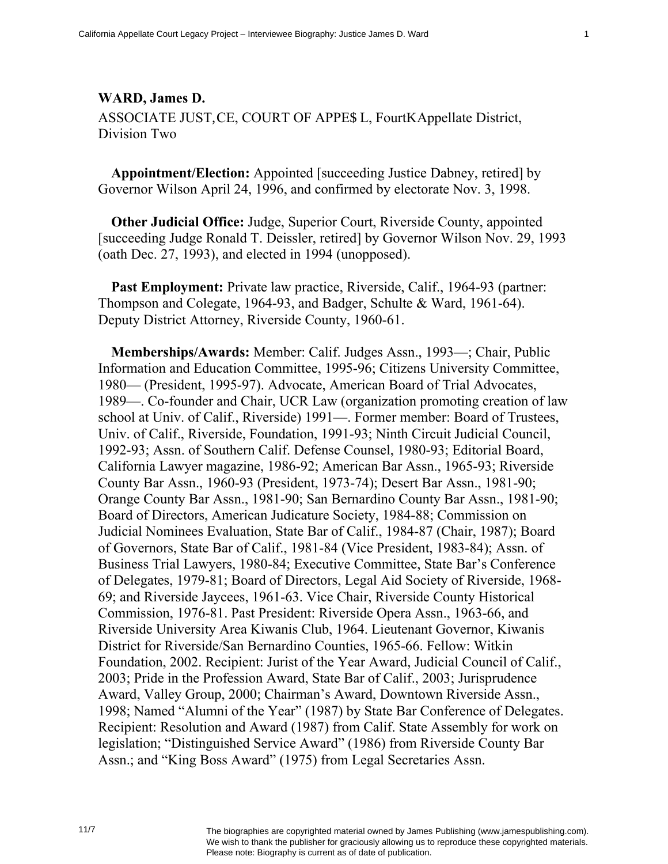## **WARD, James D.**

ASSOCIATE JUSTICE, COURT OF APPECL, Fourti Appellate District, Division Two

**Appointment/Election:** Appointed [succeeding Justice Dabney, retired] by Governor Wilson April 24, 1996, and confirmed by electorate Nov. 3, 1998.

**Other Judicial Office:** Judge, Superior Court, Riverside County, appointed [succeeding Judge Ronald T. Deissler, retired] by Governor Wilson Nov. 29, 1993 (oath Dec. 27, 1993), and elected in 1994 (unopposed).

**Past Employment:** Private law practice, Riverside, Calif., 1964-93 (partner: Thompson and Colegate, 1964-93, and Badger, Schulte & Ward, 1961-64). Deputy District Attorney, Riverside County, 1960-61.

**Memberships/Awards:** Member: Calif. Judges Assn., 1993—; Chair, Public Information and Education Committee, 1995-96; Citizens University Committee, 1980— (President, 1995-97). Advocate, American Board of Trial Advocates, 1989—. Co-founder and Chair, UCR Law (organization promoting creation of law school at Univ. of Calif., Riverside) 1991—. Former member: Board of Trustees, Univ. of Calif., Riverside, Foundation, 1991-93; Ninth Circuit Judicial Council, 1992-93; Assn. of Southern Calif. Defense Counsel, 1980-93; Editorial Board, California Lawyer magazine, 1986-92; American Bar Assn., 1965-93; Riverside County Bar Assn., 1960-93 (President, 1973-74); Desert Bar Assn., 1981-90; Orange County Bar Assn., 1981-90; San Bernardino County Bar Assn., 1981-90; Board of Directors, American Judicature Society, 1984-88; Commission on Judicial Nominees Evaluation, State Bar of Calif., 1984-87 (Chair, 1987); Board of Governors, State Bar of Calif., 1981-84 (Vice President, 1983-84); Assn. of Business Trial Lawyers, 1980-84; Executive Committee, State Bar's Conference of Delegates, 1979-81; Board of Directors, Legal Aid Society of Riverside, 1968- 69; and Riverside Jaycees, 1961-63. Vice Chair, Riverside County Historical Commission, 1976-81. Past President: Riverside Opera Assn., 1963-66, and Riverside University Area Kiwanis Club, 1964. Lieutenant Governor, Kiwanis District for Riverside/San Bernardino Counties, 1965-66. Fellow: Witkin Foundation, 2002. Recipient: Jurist of the Year Award, Judicial Council of Calif., 2003; Pride in the Profession Award, State Bar of Calif., 2003; Jurisprudence Award, Valley Group, 2000; Chairman's Award, Downtown Riverside Assn., 1998; Named "Alumni of the Year" (1987) by State Bar Conference of Delegates. Recipient: Resolution and Award (1987) from Calif. State Assembly for work on legislation; "Distinguished Service Award" (1986) from Riverside County Bar Assn.; and "King Boss Award" (1975) from Legal Secretaries Assn.